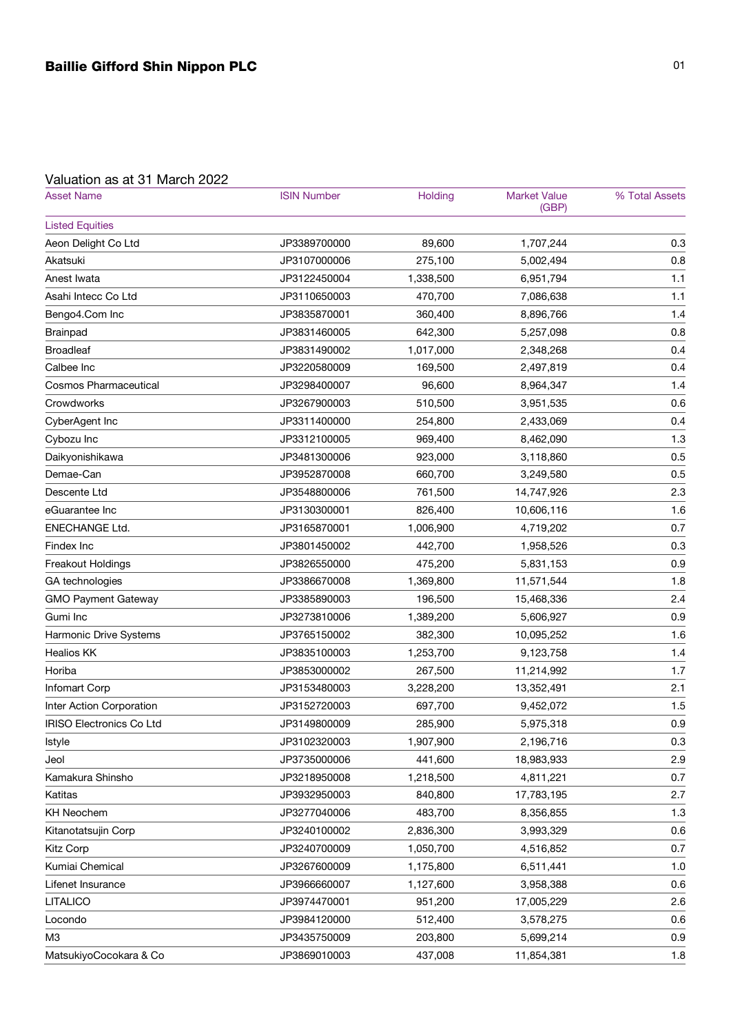## Valuation as at 31 March 2022

| <b>Asset Name</b>               | <b>ISIN Number</b> | Holding   | <b>Market Value</b><br>(GBP) | % Total Assets |
|---------------------------------|--------------------|-----------|------------------------------|----------------|
| <b>Listed Equities</b>          |                    |           |                              |                |
| Aeon Delight Co Ltd             | JP3389700000       | 89,600    | 1,707,244                    | 0.3            |
| Akatsuki                        | JP3107000006       | 275,100   | 5,002,494                    | 0.8            |
| Anest Iwata                     | JP3122450004       | 1,338,500 | 6,951,794                    | 1.1            |
| Asahi Intecc Co Ltd             | JP3110650003       | 470,700   | 7,086,638                    | 1.1            |
| Bengo4.Com Inc                  | JP3835870001       | 360,400   | 8,896,766                    | 1.4            |
| <b>Brainpad</b>                 | JP3831460005       | 642,300   | 5,257,098                    | 0.8            |
| <b>Broadleaf</b>                | JP3831490002       | 1,017,000 | 2,348,268                    | 0.4            |
| Calbee Inc                      | JP3220580009       | 169,500   | 2,497,819                    | 0.4            |
| <b>Cosmos Pharmaceutical</b>    | JP3298400007       | 96,600    | 8,964,347                    | 1.4            |
| Crowdworks                      | JP3267900003       | 510,500   | 3,951,535                    | 0.6            |
| CyberAgent Inc                  | JP3311400000       | 254,800   | 2,433,069                    | 0.4            |
| Cybozu Inc                      | JP3312100005       | 969,400   | 8,462,090                    | 1.3            |
| Daikyonishikawa                 | JP3481300006       | 923,000   | 3,118,860                    | 0.5            |
| Demae-Can                       | JP3952870008       | 660,700   | 3,249,580                    | 0.5            |
| Descente Ltd                    | JP3548800006       | 761,500   | 14,747,926                   | 2.3            |
| eGuarantee Inc                  | JP3130300001       | 826,400   | 10,606,116                   | 1.6            |
| ENECHANGE Ltd.                  | JP3165870001       | 1,006,900 | 4,719,202                    | 0.7            |
| Findex Inc                      | JP3801450002       | 442,700   | 1,958,526                    | 0.3            |
| Freakout Holdings               | JP3826550000       | 475,200   | 5,831,153                    | 0.9            |
| GA technologies                 | JP3386670008       | 1,369,800 | 11,571,544                   | 1.8            |
| <b>GMO Payment Gateway</b>      | JP3385890003       | 196,500   | 15,468,336                   | 2.4            |
| Gumi Inc                        | JP3273810006       | 1,389,200 | 5,606,927                    | 0.9            |
| Harmonic Drive Systems          | JP3765150002       | 382,300   | 10,095,252                   | 1.6            |
| <b>Healios KK</b>               | JP3835100003       | 1,253,700 | 9,123,758                    | 1.4            |
| Horiba                          | JP3853000002       | 267,500   | 11,214,992                   | 1.7            |
| <b>Infomart Corp</b>            | JP3153480003       | 3,228,200 | 13,352,491                   | 2.1            |
| Inter Action Corporation        | JP3152720003       | 697,700   | 9,452,072                    | 1.5            |
| <b>IRISO Electronics Co Ltd</b> | JP3149800009       | 285,900   | 5,975,318                    | 0.9            |
| Istyle                          | JP3102320003       | 1,907,900 | 2,196,716                    | 0.3            |
| Jeol                            | JP3735000006       | 441,600   | 18,983,933                   | 2.9            |
| Kamakura Shinsho                | JP3218950008       | 1,218,500 | 4,811,221                    | 0.7            |
| Katitas                         | JP3932950003       | 840,800   | 17,783,195                   | 2.7            |
| <b>KH Neochem</b>               | JP3277040006       | 483,700   | 8,356,855                    | 1.3            |
| Kitanotatsujin Corp             | JP3240100002       | 2,836,300 | 3,993,329                    | 0.6            |
| <b>Kitz Corp</b>                | JP3240700009       | 1,050,700 | 4,516,852                    | 0.7            |
| Kumiai Chemical                 | JP3267600009       | 1,175,800 | 6,511,441                    | 1.0            |
| Lifenet Insurance               | JP3966660007       | 1,127,600 | 3,958,388                    | 0.6            |
| <b>LITALICO</b>                 | JP3974470001       | 951,200   | 17,005,229                   | 2.6            |
| Locondo                         | JP3984120000       | 512,400   | 3,578,275                    | 0.6            |
| M <sub>3</sub>                  | JP3435750009       | 203,800   | 5,699,214                    | 0.9            |
| MatsukiyoCocokara & Co          | JP3869010003       | 437,008   | 11,854,381                   | 1.8            |
|                                 |                    |           |                              |                |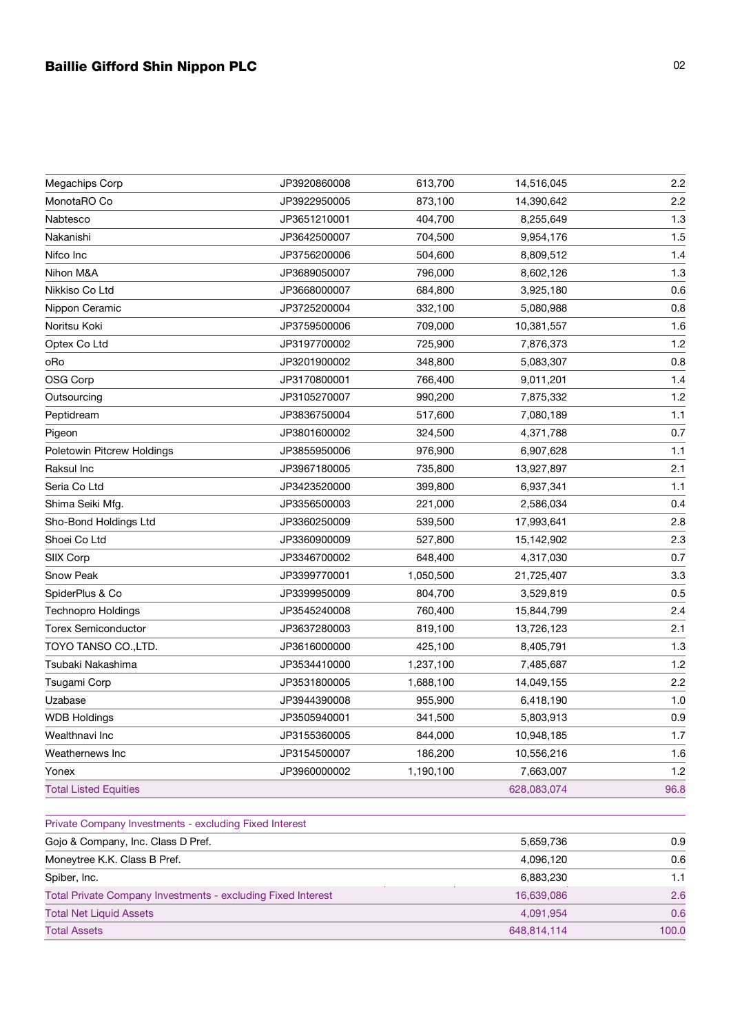## Baillie Gifford Shin Nippon PLC 02

| Megachips Corp                                               | JP3920860008 | 613,700   | 14,516,045  | 2.2  |
|--------------------------------------------------------------|--------------|-----------|-------------|------|
| MonotaRO Co                                                  | JP3922950005 | 873,100   | 14,390,642  | 2.2  |
| Nabtesco                                                     | JP3651210001 | 404,700   | 8,255,649   | 1.3  |
| Nakanishi                                                    | JP3642500007 | 704,500   | 9,954,176   | 1.5  |
| Nifco Inc                                                    | JP3756200006 | 504,600   | 8,809,512   | 1.4  |
| Nihon M&A                                                    | JP3689050007 | 796,000   | 8,602,126   | 1.3  |
| Nikkiso Co Ltd                                               | JP3668000007 | 684,800   | 3,925,180   | 0.6  |
| Nippon Ceramic                                               | JP3725200004 | 332,100   | 5,080,988   | 0.8  |
| Noritsu Koki                                                 | JP3759500006 | 709,000   | 10,381,557  | 1.6  |
| Optex Co Ltd                                                 | JP3197700002 | 725,900   | 7,876,373   | 1.2  |
| oRo                                                          | JP3201900002 | 348,800   | 5,083,307   | 0.8  |
| OSG Corp                                                     | JP3170800001 | 766,400   | 9,011,201   | 1.4  |
| Outsourcing                                                  | JP3105270007 | 990,200   | 7,875,332   | 1.2  |
| Peptidream                                                   | JP3836750004 | 517,600   | 7,080,189   | 1.1  |
| Pigeon                                                       | JP3801600002 | 324,500   | 4,371,788   | 0.7  |
| Poletowin Pitcrew Holdings                                   | JP3855950006 | 976,900   | 6,907,628   | 1.1  |
| Raksul Inc                                                   | JP3967180005 | 735,800   | 13,927,897  | 2.1  |
| Seria Co Ltd                                                 | JP3423520000 | 399,800   | 6,937,341   | 1.1  |
| Shima Seiki Mfg.                                             | JP3356500003 | 221,000   | 2,586,034   | 0.4  |
| Sho-Bond Holdings Ltd                                        | JP3360250009 | 539,500   | 17,993,641  | 2.8  |
| Shoei Co Ltd                                                 | JP3360900009 | 527,800   | 15,142,902  | 2.3  |
| SIIX Corp                                                    | JP3346700002 | 648,400   | 4,317,030   | 0.7  |
| Snow Peak                                                    | JP3399770001 | 1,050,500 | 21,725,407  | 3.3  |
| SpiderPlus & Co                                              | JP3399950009 | 804,700   | 3,529,819   | 0.5  |
| Technopro Holdings                                           | JP3545240008 | 760,400   | 15,844,799  | 2.4  |
| <b>Torex Semiconductor</b>                                   | JP3637280003 | 819,100   | 13,726,123  | 2.1  |
| TOYO TANSO CO.,LTD.                                          | JP3616000000 | 425,100   | 8,405,791   | 1.3  |
| Tsubaki Nakashima                                            | JP3534410000 | 1,237,100 | 7,485,687   | 1.2  |
| Tsugami Corp                                                 | JP3531800005 | 1,688,100 | 14,049,155  | 2.2  |
| Uzabase                                                      | JP3944390008 | 955,900   | 6,418,190   | 1.0  |
| <b>WDB Holdings</b>                                          | JP3505940001 | 341,500   | 5,803,913   | 0.9  |
| Wealthnavi Inc                                               | JP3155360005 | 844,000   | 10,948,185  | 1.7  |
| Weathernews Inc                                              | JP3154500007 | 186,200   | 10,556,216  | 1.6  |
| Yonex                                                        | JP3960000002 | 1,190,100 | 7,663,007   | 1.2  |
| <b>Total Listed Equities</b>                                 |              |           | 628,083,074 | 96.8 |
| Private Company Investments - excluding Fixed Interest       |              |           |             |      |
| Gojo & Company, Inc. Class D Pref.                           |              |           | 5,659,736   | 0.9  |
| Moneytree K.K. Class B Pref.                                 |              |           | 4,096,120   | 0.6  |
| Spiber, Inc.                                                 |              |           | 6,883,230   | 1.1  |
| Total Private Company Investments - excluding Fixed Interest |              |           | 16,639,086  | 2.6  |
| <b>Total Net Liquid Assets</b>                               |              |           | 4,091,954   | 0.6  |